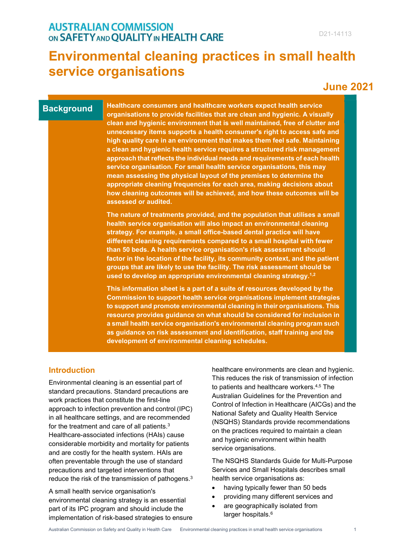## **AUSTRALIAN COMMISSION** ON SAFETY AND QUALITY IN HEALTH CARE

# **Environmental cleaning practices in small health service organisations**

# **June 2021**

## **Background**

**Healthcare consumers and healthcare workers expect health service organisations to provide facilities that are clean and hygienic. A visually clean and hygienic environment that is well maintained, free of clutter and unnecessary items supports a health consumer's right to access safe and high quality care in an environment that makes them feel safe. Maintaining a clean and hygienic health service requires a structured risk management approach that reflects the individual needs and requirements of each health service organisation. For small health service organisations, this may mean assessing the physical layout of the premises to determine the appropriate cleaning frequencies for each area, making decisions about how cleaning outcomes will be achieved, and how these outcomes will be assessed or audited.**

**The nature of treatments provided, and the population that utilises a small health service organisation will also impact an environmental cleaning strategy. For example, a small office-based dental practice will have different cleaning requirements compared to a small hospital with fewer than 50 beds. A health service organisation's risk assessment should factor in the location of the facility, its community context, and the patient groups that are likely to use the facility. The risk assessment should be used to develop an appropriate environmental cleaning strategy.1,2**

**This information sheet is a part of a suite of resources developed by the Commission to support health service organisations implement strategies to support and promote environmental cleaning in their organisations. This resource provides guidance on what should be considered for inclusion in a small health service organisation's environmental cleaning program such as guidance on risk assessment and identification, staff training and the development of environmental cleaning schedules.**

## **Introduction**

Environmental cleaning is an essential part of standard precautions. Standard precautions are work practices that constitute the first-line approach to infection prevention and control (IPC) in all healthcare settings, and are recommended for the treatment and care of all patients.3 Healthcare-associated infections (HAIs) cause considerable morbidity and mortality for patients and are costly for the health system. HAIs are often preventable through the use of standard precautions and targeted interventions that reduce the risk of the transmission of pathogens.3

A small health service organisation's environmental cleaning strategy is an essential part of its IPC program and should include the implementation of risk-based strategies to ensure healthcare environments are clean and hygienic. This reduces the risk of transmission of infection to patients and healthcare workers.4,5 The Australian Guidelines for the Prevention and Control of Infection in Healthcare (AICGs) and the National Safety and Quality Health Service (NSQHS) Standards provide recommendations on the practices required to maintain a clean and hygienic environment within health service organisations.

The NSQHS Standards Guide for Multi-Purpose Services and Small Hospitals describes small health service organisations as:

- having typically fewer than 50 beds
- providing many different services and
- are geographically isolated from larger hospitals.<sup>6</sup>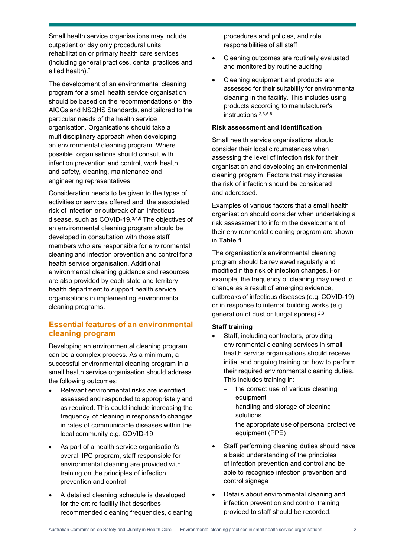Small health service organisations may include outpatient or day only procedural units, rehabilitation or primary health care services (including general practices, dental practices and allied health).7

The development of an environmental cleaning program for a small health service organisation should be based on the recommendations on the AICGs and NSQHS Standards, and tailored to the particular needs of the health service organisation. Organisations should take a multidisciplinary approach when developing an environmental cleaning program. Where possible, organisations should consult with infection prevention and control, work health and safety, cleaning, maintenance and engineering representatives.

Consideration needs to be given to the types of activities or services offered and, the associated risk of infection or outbreak of an infectious disease, such as COVID-19.3,4,6 The objectives of an environmental cleaning program should be developed in consultation with those staff members who are responsible for environmental cleaning and infection prevention and control for a health service organisation. Additional environmental cleaning guidance and resources are also provided by each state and territory health department to support health service organisations in implementing environmental cleaning programs.

## **Essential features of an environmental cleaning program**

Developing an environmental cleaning program can be a complex process. As a minimum, a successful environmental cleaning program in a small health service organisation should address the following outcomes:

- Relevant environmental risks are identified, assessed and responded to appropriately and as required. This could include increasing the frequency of cleaning in response to changes in rates of communicable diseases within the local community e.g. COVID-19
- As part of a health service organisation's overall IPC program, staff responsible for environmental cleaning are provided with training on the principles of infection prevention and control
- A detailed cleaning schedule is developed for the entire facility that describes recommended cleaning frequencies, cleaning

procedures and policies, and role responsibilities of all staff

- Cleaning outcomes are routinely evaluated and monitored by routine auditing
- Cleaning equipment and products are assessed for their suitability for environmental cleaning in the facility. This includes using products according to manufacturer's instructions.2,3,5,6

#### **Risk assessment and identification**

Small health service organisations should consider their local circumstances when assessing the level of infection risk for their organisation and developing an environmental cleaning program. Factors that may increase the risk of infection should be considered and addressed.

Examples of various factors that a small health organisation should consider when undertaking a risk assessment to inform the development of their environmental cleaning program are shown in **Table 1**.

The organisation's environmental cleaning program should be reviewed regularly and modified if the risk of infection changes. For example, the frequency of cleaning may need to change as a result of emerging evidence, outbreaks of infectious diseases (e.g. COVID-19), or in response to internal building works (e.g. generation of dust or fungal spores).2,3

#### **Staff training**

- Staff, including contractors, providing environmental cleaning services in small health service organisations should receive initial and ongoing training on how to perform their required environmental cleaning duties. This includes training in:
	- − the correct use of various cleaning equipment
	- handling and storage of cleaning solutions
	- − the appropriate use of personal protective equipment (PPE)
- Staff performing cleaning duties should have a basic understanding of the principles of infection prevention and control and be able to recognise infection prevention and control signage
- Details about environmental cleaning and infection prevention and control training provided to staff should be recorded.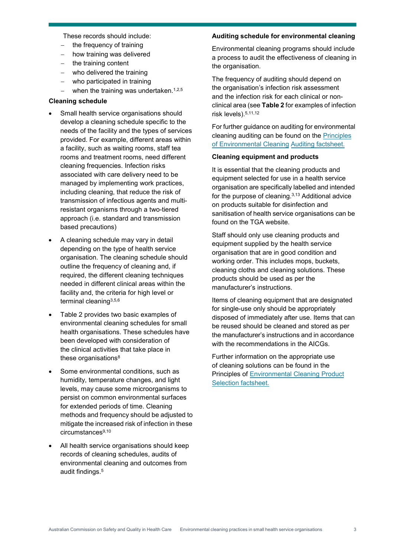These records should include:

- the frequency of training
- − how training was delivered
- the training content
- − who delivered the training
- − who participated in training
- − when the training was undertaken.1,2,5

#### **Cleaning schedule**

- Small health service organisations should develop a cleaning schedule specific to the needs of the facility and the types of services provided. For example, different areas within a facility, such as waiting rooms, staff tea rooms and treatment rooms, need different cleaning frequencies. Infection risks associated with care delivery need to be managed by implementing work practices, including cleaning, that reduce the risk of transmission of infectious agents and multiresistant organisms through a two-tiered approach (i.e. standard and transmission based precautions)
- A cleaning schedule may vary in detail depending on the type of health service organisation. The cleaning schedule should outline the frequency of cleaning and, if required, the different cleaning techniques needed in different clinical areas within the facility and, the criteria for high level or terminal cleaning3,5,6
- Table 2 provides two basic examples of environmental cleaning schedules for small health organisations. These schedules have been developed with consideration of the clinical activities that take place in these organisations<sup>8</sup>
- Some environmental conditions, such as humidity, temperature changes, and light levels, may cause some microorganisms to persist on common environmental surfaces for extended periods of time. Cleaning methods and frequency should be adjusted to mitigate the increased risk of infection in these circumstances<sup>9,10</sup>
- All health service organisations should keep records of cleaning schedules, audits of environmental cleaning and outcomes from audit findings.5

#### **Auditing schedule for environmental cleaning**

Environmental cleaning programs should include a process to audit the effectiveness of cleaning in the organisation.

The frequency of auditing should depend on the organisation's infection risk assessment and the infection risk for each clinical or nonclinical area (see **Table 2** for examples of infection risk levels).5,11,12

For further guidance on auditing for environmental cleaning auditing can be found on the Principles of Environmental Cleaning [Auditing factsheet](https://www.safetyandquality.gov.au/publications-and-resources/resource-library/principles-environmental-cleaning-auditing-august-2020-fact-sheet).

#### **[Cleaning](https://www.safetyandquality.gov.au/publications-and-resources/resource-library/principles-environmental-cleaning-auditing-august-2020-fact-sheet) equipment and products**

It is essential that the cleaning products and equipment selected for use in a health service organisation are specifically labelled and intended for the purpose of cleaning. $3,13$  Additional advice on products suitable for disinfection and sanitisation of health service organisations can be found on the TGA website.

Staff should only use cleaning products and equipment supplied by the health service organisation that are in good condition and working order. This includes mops, buckets, cleaning cloths and cleaning solutions. These products should be used as per the manufacturer's instructions.

Items of cleaning equipment that are designated for single-use only should be appropriately disposed of immediately after use. Items that can be reused should be cleaned and stored as per the manufacturer's instructions and in accordance with the recommendations in the AICGs.

Further information on the appropriate use of cleaning solutions can be found in the Principles of Environmental Cleaning Product Selection fa[ctsheet.](https://www.safetyandquality.gov.au/publications-and-resources/resource-library/principles-environmental-cleaning-product-selection-october-2020-fact-sheet)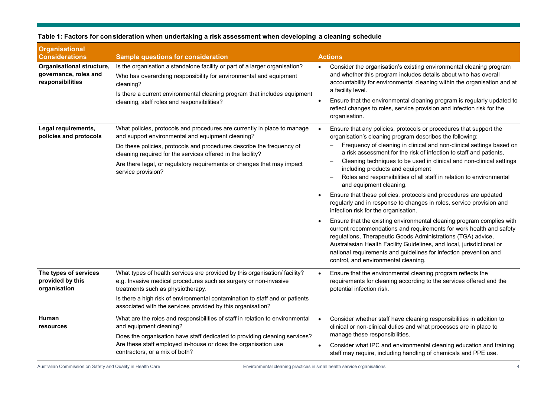| <b>Organisational</b><br><b>Considerations</b>                         | <b>Sample questions for consideration</b>                                                                                                                                                                                                                                                                                                                             | <b>Actions</b>                                                                                                                                                                                                                                                                                                                                                                                                                                                                                                                                                                                                                                                                                                                                                                                                                                                                                                                                                                                                                                                                        |
|------------------------------------------------------------------------|-----------------------------------------------------------------------------------------------------------------------------------------------------------------------------------------------------------------------------------------------------------------------------------------------------------------------------------------------------------------------|---------------------------------------------------------------------------------------------------------------------------------------------------------------------------------------------------------------------------------------------------------------------------------------------------------------------------------------------------------------------------------------------------------------------------------------------------------------------------------------------------------------------------------------------------------------------------------------------------------------------------------------------------------------------------------------------------------------------------------------------------------------------------------------------------------------------------------------------------------------------------------------------------------------------------------------------------------------------------------------------------------------------------------------------------------------------------------------|
| Organisational structure,<br>governance, roles and<br>responsibilities | Is the organisation a standalone facility or part of a larger organisation?<br>Who has overarching responsibility for environmental and equipment<br>cleaning?<br>Is there a current environmental cleaning program that includes equipment<br>cleaning, staff roles and responsibilities?                                                                            | Consider the organisation's existing environmental cleaning program<br>and whether this program includes details about who has overall<br>accountability for environmental cleaning within the organisation and at<br>a facility level.<br>Ensure that the environmental cleaning program is regularly updated to<br>reflect changes to roles, service provision and infection risk for the<br>organisation.                                                                                                                                                                                                                                                                                                                                                                                                                                                                                                                                                                                                                                                                          |
| Legal requirements,<br>policies and protocols                          | What policies, protocols and procedures are currently in place to manage<br>and support environmental and equipment cleaning?<br>Do these policies, protocols and procedures describe the frequency of<br>cleaning required for the services offered in the facility?<br>Are there legal, or regulatory requirements or changes that may impact<br>service provision? | Ensure that any policies, protocols or procedures that support the<br>organisation's cleaning program describes the following:<br>Frequency of cleaning in clinical and non-clinical settings based on<br>a risk assessment for the risk of infection to staff and patients,<br>Cleaning techniques to be used in clinical and non-clinical settings<br>including products and equipment<br>Roles and responsibilities of all staff in relation to environmental<br>and equipment cleaning.<br>Ensure that these policies, protocols and procedures are updated<br>regularly and in response to changes in roles, service provision and<br>infection risk for the organisation.<br>Ensure that the existing environmental cleaning program complies with<br>current recommendations and requirements for work health and safety<br>regulations, Therapeutic Goods Administrations (TGA) advice,<br>Australasian Health Facility Guidelines, and local, jurisdictional or<br>national requirements and guidelines for infection prevention and<br>control, and environmental cleaning. |
| The types of services<br>provided by this<br>organisation              | What types of health services are provided by this organisation/ facility?<br>e.g. Invasive medical procedures such as surgery or non-invasive<br>treatments such as physiotherapy.<br>Is there a high risk of environmental contamination to staff and or patients<br>associated with the services provided by this organisation?                                    | Ensure that the environmental cleaning program reflects the<br>requirements for cleaning according to the services offered and the<br>potential infection risk.                                                                                                                                                                                                                                                                                                                                                                                                                                                                                                                                                                                                                                                                                                                                                                                                                                                                                                                       |
| <b>Human</b><br>resources                                              | What are the roles and responsibilities of staff in relation to environmental<br>and equipment cleaning?<br>Does the organisation have staff dedicated to providing cleaning services?<br>Are these staff employed in-house or does the organisation use<br>contractors, or a mix of both?                                                                            | Consider whether staff have cleaning responsibilities in addition to<br>clinical or non-clinical duties and what processes are in place to<br>manage these responsibilities.<br>Consider what IPC and environmental cleaning education and training<br>staff may require, including handling of chemicals and PPE use.                                                                                                                                                                                                                                                                                                                                                                                                                                                                                                                                                                                                                                                                                                                                                                |

#### **Table 1: Factors for consideration when undertaking a risk assessment when developing a cleaning schedule**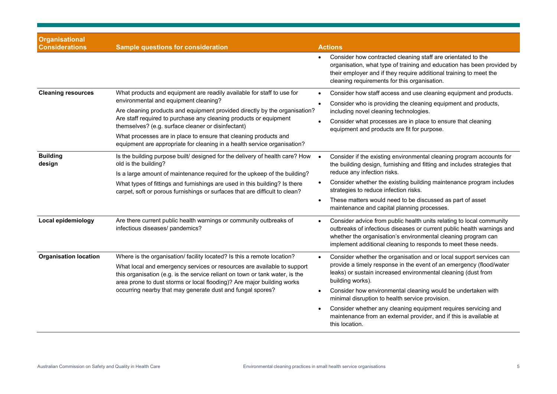| <b>Organisational</b><br><b>Considerations</b> | <b>Sample questions for consideration</b>                                                                                                                                                                                                                                                                                                                                                                                                                                | <b>Actions</b>                                                                                                                                                                                                                                                                                                                                                                                                                                                                                               |  |  |
|------------------------------------------------|--------------------------------------------------------------------------------------------------------------------------------------------------------------------------------------------------------------------------------------------------------------------------------------------------------------------------------------------------------------------------------------------------------------------------------------------------------------------------|--------------------------------------------------------------------------------------------------------------------------------------------------------------------------------------------------------------------------------------------------------------------------------------------------------------------------------------------------------------------------------------------------------------------------------------------------------------------------------------------------------------|--|--|
|                                                |                                                                                                                                                                                                                                                                                                                                                                                                                                                                          | Consider how contracted cleaning staff are orientated to the<br>organisation, what type of training and education has been provided by<br>their employer and if they require additional training to meet the<br>cleaning requirements for this organisation.                                                                                                                                                                                                                                                 |  |  |
| <b>Cleaning resources</b>                      | What products and equipment are readily available for staff to use for<br>environmental and equipment cleaning?<br>Are cleaning products and equipment provided directly by the organisation?<br>Are staff required to purchase any cleaning products or equipment<br>themselves? (e.g. surface cleaner or disinfectant)<br>What processes are in place to ensure that cleaning products and<br>equipment are appropriate for cleaning in a health service organisation? | Consider how staff access and use cleaning equipment and products.<br>Consider who is providing the cleaning equipment and products,<br>including novel cleaning technologies.<br>Consider what processes are in place to ensure that cleaning<br>equipment and products are fit for purpose.                                                                                                                                                                                                                |  |  |
| <b>Building</b><br>design                      | Is the building purpose built/ designed for the delivery of health care? How<br>old is the building?<br>Is a large amount of maintenance required for the upkeep of the building?<br>What types of fittings and furnishings are used in this building? Is there<br>carpet, soft or porous furnishings or surfaces that are difficult to clean?                                                                                                                           | Consider if the existing environmental cleaning program accounts for<br>the building design, furnishing and fitting and includes strategies that<br>reduce any infection risks.<br>Consider whether the existing building maintenance program includes<br>strategies to reduce infection risks.<br>These matters would need to be discussed as part of asset<br>maintenance and capital planning processes.                                                                                                  |  |  |
| Local epidemiology                             | Are there current public health warnings or community outbreaks of<br>infectious diseases/ pandemics?                                                                                                                                                                                                                                                                                                                                                                    | Consider advice from public health units relating to local community<br>outbreaks of infectious diseases or current public health warnings and<br>whether the organisation's environmental cleaning program can<br>implement additional cleaning to responds to meet these needs.                                                                                                                                                                                                                            |  |  |
| <b>Organisation location</b>                   | Where is the organisation/ facility located? Is this a remote location?<br>What local and emergency services or resources are available to support<br>this organisation (e.g. is the service reliant on town or tank water, is the<br>area prone to dust storms or local flooding)? Are major building works<br>occurring nearby that may generate dust and fungal spores?                                                                                               | Consider whether the organisation and or local support services can<br>provide a timely response in the event of an emergency (flood/water<br>leaks) or sustain increased environmental cleaning (dust from<br>building works).<br>Consider how environmental cleaning would be undertaken with<br>minimal disruption to health service provision.<br>Consider whether any cleaning equipment requires servicing and<br>maintenance from an external provider, and if this is available at<br>this location. |  |  |